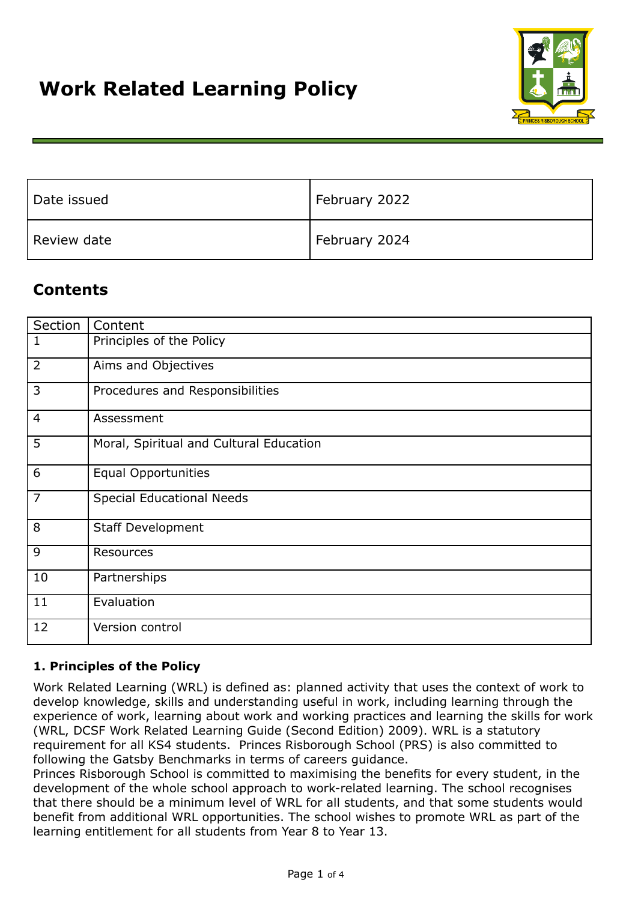

| Date issued | February 2022 |
|-------------|---------------|
| Review date | February 2024 |

# **Contents**

| Section        | Content                                 |
|----------------|-----------------------------------------|
| 1              | Principles of the Policy                |
| 2              | Aims and Objectives                     |
| 3              | Procedures and Responsibilities         |
| $\overline{4}$ | Assessment                              |
| 5              | Moral, Spiritual and Cultural Education |
| 6              | <b>Equal Opportunities</b>              |
| 7              | <b>Special Educational Needs</b>        |
| 8              | <b>Staff Development</b>                |
| 9              | Resources                               |
| 10             | Partnerships                            |
| 11             | Evaluation                              |
| 12             | Version control                         |

# **1. Principles of the Policy**

Work Related Learning (WRL) is defined as: planned activity that uses the context of work to develop knowledge, skills and understanding useful in work, including learning through the experience of work, learning about work and working practices and learning the skills for work (WRL, DCSF Work Related Learning Guide (Second Edition) 2009). WRL is a statutory requirement for all KS4 students. Princes Risborough School (PRS) is also committed to following the Gatsby Benchmarks in terms of careers guidance.

Princes Risborough School is committed to maximising the benefits for every student, in the development of the whole school approach to work-related learning. The school recognises that there should be a minimum level of WRL for all students, and that some students would benefit from additional WRL opportunities. The school wishes to promote WRL as part of the learning entitlement for all students from Year 8 to Year 13.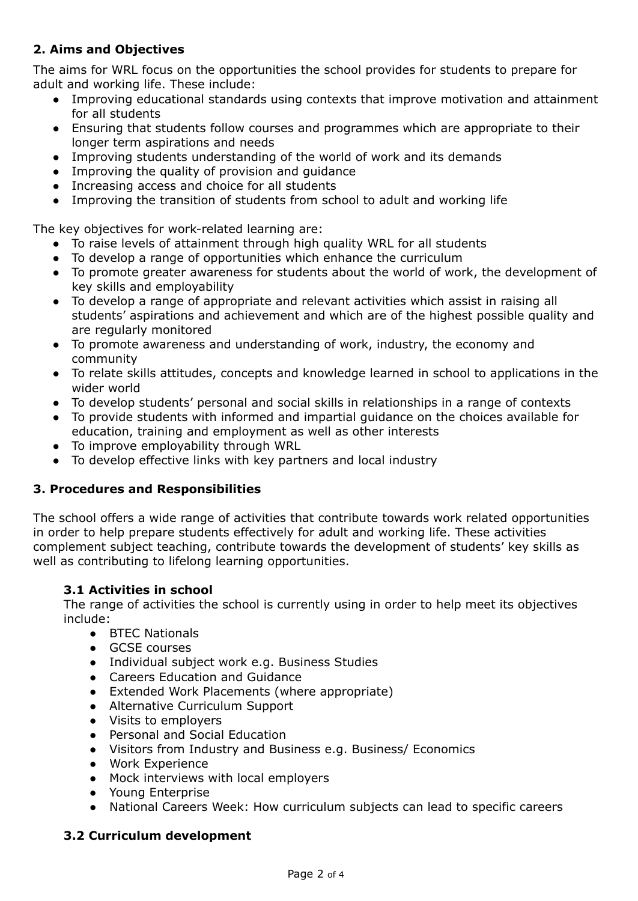# **2. Aims and Objectives**

The aims for WRL focus on the opportunities the school provides for students to prepare for adult and working life. These include:

- Improving educational standards using contexts that improve motivation and attainment for all students
- Ensuring that students follow courses and programmes which are appropriate to their longer term aspirations and needs
- Improving students understanding of the world of work and its demands
- Improving the quality of provision and guidance
- Increasing access and choice for all students
- Improving the transition of students from school to adult and working life

The key objectives for work-related learning are:

- To raise levels of attainment through high quality WRL for all students
- To develop a range of opportunities which enhance the curriculum
- To promote greater awareness for students about the world of work, the development of key skills and employability
- To develop a range of appropriate and relevant activities which assist in raising all students' aspirations and achievement and which are of the highest possible quality and are regularly monitored
- To promote awareness and understanding of work, industry, the economy and community
- To relate skills attitudes, concepts and knowledge learned in school to applications in the wider world
- To develop students' personal and social skills in relationships in a range of contexts
- To provide students with informed and impartial guidance on the choices available for education, training and employment as well as other interests
- To improve employability through WRL
- To develop effective links with key partners and local industry

# **3. Procedures and Responsibilities**

The school offers a wide range of activities that contribute towards work related opportunities in order to help prepare students effectively for adult and working life. These activities complement subject teaching, contribute towards the development of students' key skills as well as contributing to lifelong learning opportunities.

# **3.1 Activities in school**

The range of activities the school is currently using in order to help meet its objectives include:

- BTEC Nationals
- GCSE courses
- Individual subject work e.g. Business Studies
- Careers Education and Guidance
- Extended Work Placements (where appropriate)
- Alternative Curriculum Support
- Visits to employers
- Personal and Social Education
- Visitors from Industry and Business e.g. Business/ Economics
- Work Experience
- Mock interviews with local employers
- Young Enterprise
- National Careers Week: How curriculum subjects can lead to specific careers

# **3.2 Curriculum development**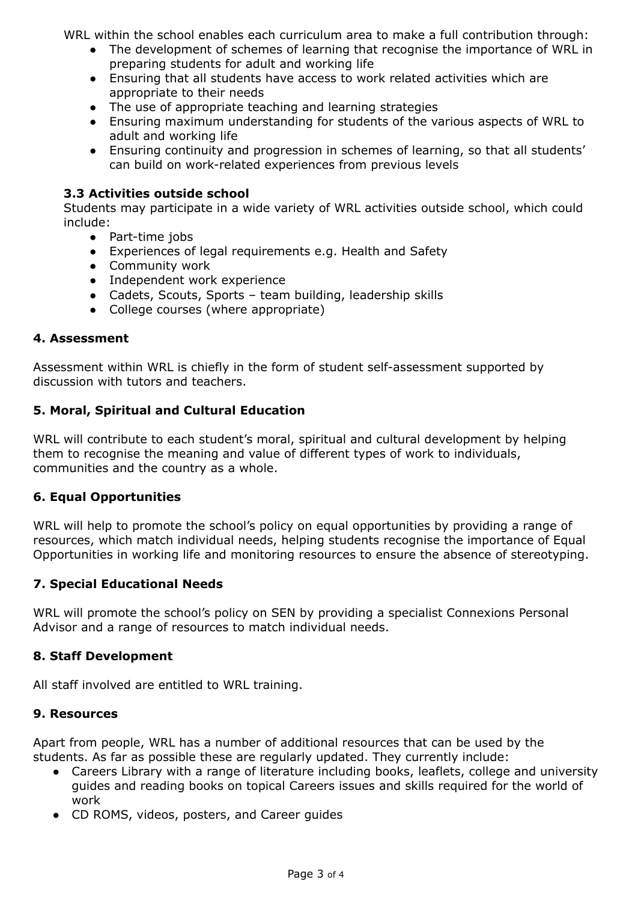WRL within the school enables each curriculum area to make a full contribution through:

- The development of schemes of learning that recognise the importance of WRL in preparing students for adult and working life
- Ensuring that all students have access to work related activities which are appropriate to their needs
- The use of appropriate teaching and learning strategies
- Ensuring maximum understanding for students of the various aspects of WRL to adult and working life
- Ensuring continuity and progression in schemes of learning, so that all students' can build on work-related experiences from previous levels

# **3.3 Activities outside school**

Students may participate in a wide variety of WRL activities outside school, which could include:

- Part-time jobs
- Experiences of legal requirements e.g. Health and Safety
- Community work
- Independent work experience
- Cadets, Scouts, Sports team building, leadership skills
- College courses (where appropriate)

### **4. Assessment**

Assessment within WRL is chiefly in the form of student self-assessment supported by discussion with tutors and teachers.

## **5. Moral, Spiritual and Cultural Education**

WRL will contribute to each student's moral, spiritual and cultural development by helping them to recognise the meaning and value of different types of work to individuals, communities and the country as a whole.

### **6. Equal Opportunities**

WRL will help to promote the school's policy on equal opportunities by providing a range of resources, which match individual needs, helping students recognise the importance of Equal Opportunities in working life and monitoring resources to ensure the absence of stereotyping.

### **7. Special Educational Needs**

WRL will promote the school's policy on SEN by providing a specialist Connexions Personal Advisor and a range of resources to match individual needs.

### **8. Staff Development**

All staff involved are entitled to WRL training.

### **9. Resources**

Apart from people, WRL has a number of additional resources that can be used by the students. As far as possible these are regularly updated. They currently include:

- Careers Library with a range of literature including books, leaflets, college and university guides and reading books on topical Careers issues and skills required for the world of work
- CD ROMS, videos, posters, and Career guides